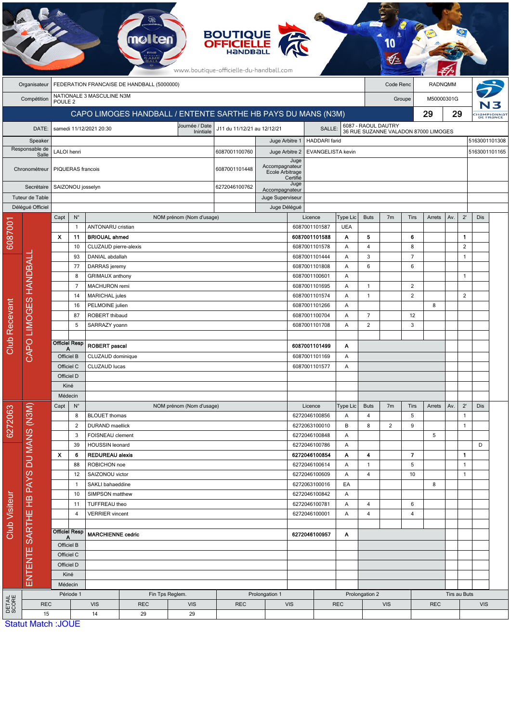|                                                            |                                      |                           |                              |                                     |               |                             | <b>BOUTIQUE</b><br><b>OFFICIELLE</b><br>www.boutique-officielle-du-handball.com |                                  |                    |                                                  |                        |                         |                                                             |                         |              |              |                |                         |  |
|------------------------------------------------------------|--------------------------------------|---------------------------|------------------------------|-------------------------------------|---------------|-----------------------------|---------------------------------------------------------------------------------|----------------------------------|--------------------|--------------------------------------------------|------------------------|-------------------------|-------------------------------------------------------------|-------------------------|--------------|--------------|----------------|-------------------------|--|
| FEDERATION FRANCAISE DE HANDBALL (5000000)<br>Organisateur |                                      |                           |                              |                                     |               |                             |                                                                                 |                                  |                    | Code Renc                                        |                        | RADNQMM                 |                                                             |                         |              |              |                |                         |  |
|                                                            | Compétition                          | POULE <sub>2</sub>        |                              | NATIONALE 3 MASCULINE N3M           |               |                             |                                                                                 |                                  |                    |                                                  |                        |                         | Groupe                                                      |                         |              | M50000301G   |                |                         |  |
|                                                            |                                      |                           |                              |                                     |               |                             | CAPO LIMOGES HANDBALL / ENTENTE SARTHE HB PAYS DU MANS (N3M)                    |                                  |                    |                                                  |                        |                         |                                                             | 29<br>29                |              |              |                |                         |  |
|                                                            |                                      |                           |                              |                                     |               |                             |                                                                                 |                                  |                    |                                                  |                        |                         |                                                             |                         |              |              |                | HaMPIONNAT<br>DE FRANCE |  |
|                                                            | DATE:                                |                           |                              | samedi 11/12/2021 20:30             |               | Journée / Date<br>Inintiale | J11 du 11/12/21 au 12/12/21                                                     |                                  | SALLE:             |                                                  |                        |                         | 6087 - RAOUL DAUTRY<br>36 RUE SUZANNE VALADON 87000 LIMOGES |                         |              |              | 5163001101308  |                         |  |
| Speaker<br>Responsable de                                  |                                      | LALOI henri               |                              |                                     |               |                             | 6087001100760                                                                   | Juge Arbitre 1<br>Juge Arbitre 2 |                    | <b>HADDARI</b> farid<br><b>EVANGELISTA kevin</b> |                        |                         |                                                             |                         |              |              |                | 5163001101165           |  |
| Salle                                                      |                                      |                           |                              |                                     |               |                             |                                                                                 |                                  | Juge               |                                                  |                        |                         |                                                             |                         |              |              |                |                         |  |
|                                                            | Chronométreur                        |                           | PIQUERAS francois            |                                     |               | 6087001101448               | Accompagnateur<br>Ecole Arbitrage                                               | Certifié                         |                    |                                                  |                        |                         |                                                             |                         |              |              |                |                         |  |
|                                                            | Secrétaire                           |                           | SAIZONOU josselyn            |                                     |               | 6272046100762               |                                                                                 | Juge<br>Accompagnateur           |                    |                                                  |                        |                         |                                                             |                         |              |              |                |                         |  |
| Tuteur de Table                                            |                                      |                           |                              |                                     |               |                             |                                                                                 | Juge Superviseur                 |                    |                                                  |                        |                         |                                                             |                         |              |              |                |                         |  |
|                                                            | Délégué Officiel                     | Capt                      | $N^{\circ}$                  |                                     |               | NOM prénom (Nom d'usage)    |                                                                                 | Juge Délégué                     |                    | Licence                                          | <b>Buts</b>            | 7 <sub>m</sub>          | Tirs                                                        | Arrets                  | Av.          | $2^{\prime}$ | Dis            |                         |  |
|                                                            |                                      |                           | $\mathbf{1}$                 | <b>ANTONARU</b> cristian            |               |                             |                                                                                 |                                  |                    | 6087001101587                                    | Type Lic<br><b>UEA</b> |                         |                                                             |                         |              |              |                |                         |  |
| 608700                                                     |                                      | X                         | 11                           | <b>BRIOUAL ahmed</b>                |               |                             |                                                                                 |                                  |                    | 6087001101588                                    | Α                      | 5                       |                                                             | 6                       |              |              | $\mathbf{1}$   |                         |  |
|                                                            |                                      |                           | 10                           | CLUZAUD pierre-alexis               |               |                             |                                                                                 |                                  |                    | 6087001101578                                    | Α                      | 4                       |                                                             | 8                       |              |              | $\overline{2}$ |                         |  |
|                                                            |                                      |                           | 93                           | DANIAL abdallah                     |               |                             |                                                                                 |                                  |                    | 6087001101444                                    | Α                      | 3                       |                                                             | $\overline{7}$          |              |              | $\mathbf{1}$   |                         |  |
|                                                            |                                      |                           | 77                           | DARRAS jeremy                       |               |                             |                                                                                 |                                  |                    | 6087001101808                                    | Α                      | $\,6\,$                 |                                                             | 6                       |              |              |                |                         |  |
|                                                            |                                      | 8<br>$\overline{7}$<br>14 |                              | GRIMAUX anthony                     |               |                             |                                                                                 |                                  | 6087001100601<br>Α |                                                  |                        |                         |                                                             |                         |              |              | $\mathbf{1}$   |                         |  |
|                                                            |                                      |                           |                              |                                     | MACHURON remi |                             |                                                                                 |                                  |                    | 6087001101695<br>Α                               |                        | $\mathbf{1}$            |                                                             | $\overline{2}$          |              |              |                |                         |  |
|                                                            | CAPO LIMOGES HANDBAL                 |                           |                              | MARICHAL jules                      |               |                             |                                                                                 |                                  |                    | 6087001101574<br>Α                               |                        | $\mathbf{1}$            |                                                             | $\overline{\mathbf{c}}$ |              |              | $\overline{2}$ |                         |  |
|                                                            |                                      |                           | 16                           | PELMOINE julien                     |               |                             |                                                                                 |                                  |                    | 6087001101266<br>Α<br>6087001100704              |                        | $\overline{7}$          |                                                             |                         | 8            |              |                |                         |  |
|                                                            |                                      |                           | 87<br>5                      | ROBERT thibaud<br>SARRAZY yoann     |               |                             |                                                                                 |                                  |                    | 6087001101708                                    | Α<br>A                 | $\overline{2}$          |                                                             | 12<br>3                 |              |              |                |                         |  |
|                                                            |                                      |                           |                              |                                     |               |                             |                                                                                 |                                  |                    |                                                  |                        |                         |                                                             |                         |              |              |                |                         |  |
| <b>Club Recevant</b>                                       |                                      |                           | <b>Officiel Resp</b>         | <b>ROBERT</b> pascal                |               |                             |                                                                                 |                                  | 6087001101499      | Α                                                |                        |                         |                                                             |                         |              |              |                |                         |  |
|                                                            |                                      | А<br>Officiel B           |                              | CLUZAUD dominique                   |               |                             |                                                                                 | 6087001101169                    |                    |                                                  | Α                      |                         |                                                             |                         |              |              |                |                         |  |
|                                                            |                                      | Officiel C                |                              | CLUZAUD lucas                       |               |                             | 6087001101577                                                                   |                                  |                    | Α                                                |                        |                         |                                                             |                         |              |              |                |                         |  |
|                                                            |                                      | Officiel D                |                              |                                     |               |                             |                                                                                 |                                  |                    |                                                  |                        |                         |                                                             |                         |              |              |                |                         |  |
|                                                            |                                      | Kiné                      |                              |                                     |               |                             |                                                                                 |                                  |                    |                                                  |                        |                         |                                                             |                         |              |              |                |                         |  |
|                                                            |                                      | Médecin                   |                              |                                     |               |                             |                                                                                 |                                  |                    |                                                  |                        |                         |                                                             |                         |              |              |                |                         |  |
|                                                            |                                      | Capt                      | $N^{\circ}$                  |                                     |               | NOM prénom (Nom d'usage)    |                                                                                 |                                  |                    | Licence                                          | Type Lic               | <b>Buts</b>             | 7 <sub>m</sub>                                              | Tirs                    | Arrets       | Av.          | $2^{\prime}$   | Dis                     |  |
| 6272063                                                    |                                      |                           | 8                            | <b>BLOUET</b> thomas                |               |                             |                                                                                 |                                  |                    | 6272046100856                                    | Α                      | $\overline{4}$          |                                                             | 5                       |              |              | $\mathbf{1}$   |                         |  |
|                                                            |                                      |                           | $\overline{c}$<br>3          | DURAND maellick<br>FOISNEAU clement |               |                             |                                                                                 |                                  |                    | 6272063100010<br>6272046100848                   | В<br>A                 | 8                       | $\overline{c}$                                              | 9                       | 5            |              |                | $\mathbf{1}$            |  |
|                                                            |                                      |                           | 39                           | HOUSSIN leonard                     |               |                             |                                                                                 |                                  |                    | 6272046100786                                    | A                      |                         |                                                             |                         |              | D            |                |                         |  |
|                                                            |                                      | $\boldsymbol{\mathsf{x}}$ | 6                            | <b>REDUREAU alexis</b>              |               |                             |                                                                                 |                                  |                    | 6272046100854                                    | Α                      | 4                       |                                                             | $\overline{\mathbf{z}}$ |              |              | $\mathbf{1}$   |                         |  |
|                                                            |                                      | 88<br>12<br>$\mathbf{1}$  |                              | ROBICHON noe                        |               |                             |                                                                                 |                                  |                    | 6272046100614                                    | Α                      | $\mathbf{1}$            |                                                             | 5                       |              |              | $\mathbf{1}$   |                         |  |
| <b>Club Visiteur</b>                                       |                                      |                           |                              | SAIZONOU victor                     |               |                             |                                                                                 |                                  |                    | 6272046100609                                    | Α                      | $\overline{\mathbf{4}}$ |                                                             | 10                      |              |              | $\mathbf{1}$   |                         |  |
|                                                            |                                      |                           |                              | SAKLI bahaeddine                    |               |                             |                                                                                 |                                  |                    | 6272063100016                                    | EA                     |                         |                                                             |                         | 8            |              |                |                         |  |
|                                                            |                                      |                           | 10<br>SIMPSON matthew        |                                     |               | 6272046100842               |                                                                                 | A                                |                    |                                                  |                        |                         |                                                             |                         |              |              |                |                         |  |
|                                                            |                                      |                           | 11                           | TUFFREAU theo                       |               |                             |                                                                                 |                                  |                    | 6272046100781                                    | Α                      | $\overline{4}$          |                                                             | 6                       |              |              |                |                         |  |
|                                                            |                                      |                           | 4                            | <b>VERRIER</b> vincent              |               |                             |                                                                                 |                                  | 6272046100001      |                                                  | Α                      | $\overline{4}$          |                                                             | 4                       |              |              |                |                         |  |
|                                                            |                                      |                           | <b>Officiel Resp</b>         |                                     |               |                             |                                                                                 |                                  |                    |                                                  |                        |                         |                                                             |                         |              |              |                |                         |  |
|                                                            | ENTENTE SARTHE HB PAYS DU MANS (N3M) | Α                         |                              | <b>MARCHIENNE cedric</b>            |               |                             |                                                                                 | 6272046100957<br>A               |                    |                                                  |                        |                         |                                                             |                         |              |              |                |                         |  |
|                                                            |                                      | Officiel B<br>Officiel C  |                              |                                     |               |                             |                                                                                 |                                  |                    |                                                  |                        |                         |                                                             |                         |              |              |                |                         |  |
|                                                            |                                      | Officiel D                |                              |                                     |               |                             |                                                                                 |                                  |                    |                                                  |                        |                         |                                                             |                         |              |              |                |                         |  |
|                                                            |                                      | Kiné                      |                              |                                     |               |                             |                                                                                 |                                  |                    |                                                  |                        |                         |                                                             |                         |              |              |                |                         |  |
|                                                            |                                      |                           | Médecin                      |                                     |               |                             |                                                                                 |                                  |                    |                                                  |                        |                         |                                                             |                         |              |              |                |                         |  |
|                                                            |                                      |                           | Période 1<br>Fin Tps Reglem. |                                     |               | Prolongation 1              |                                                                                 |                                  |                    |                                                  |                        | Prolongation 2          |                                                             |                         | Tirs au Buts |              |                |                         |  |
| <b>DETAIL</b><br>SCORE                                     | <b>REC</b>                           |                           |                              | <b>VIS</b>                          | <b>REC</b>    | <b>VIS</b>                  | <b>REC</b>                                                                      | <b>VIS</b>                       |                    | <b>REC</b>                                       |                        | <b>VIS</b>              |                                                             |                         | <b>REC</b>   |              |                | <b>VIS</b>              |  |
|                                                            | 15<br><b>Statut Match: JOUE</b>      |                           |                              | 14                                  | 29            | 29                          |                                                                                 |                                  |                    |                                                  |                        |                         |                                                             |                         |              |              |                |                         |  |